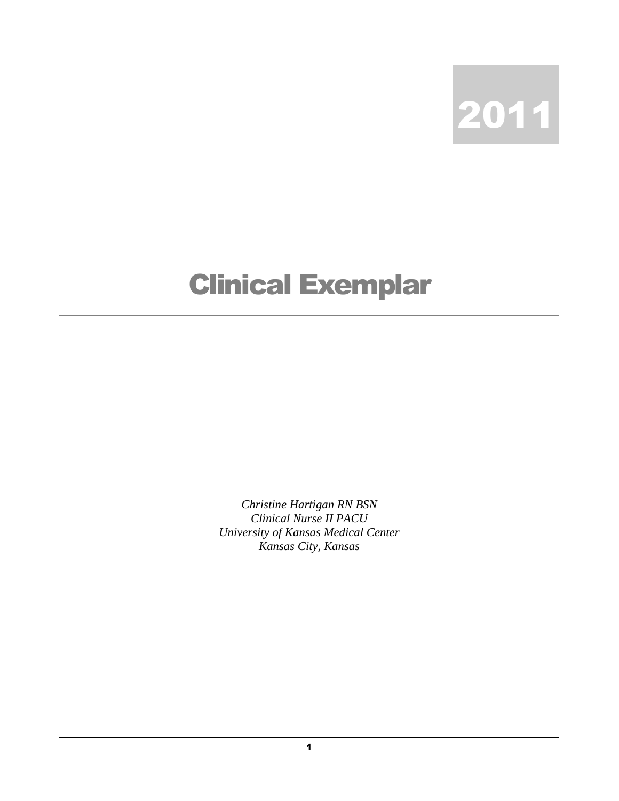

## Clinical Exemplar

*Christine Hartigan RN BSN Clinical Nurse II PACU University of Kansas Medical Center Kansas City, Kansas*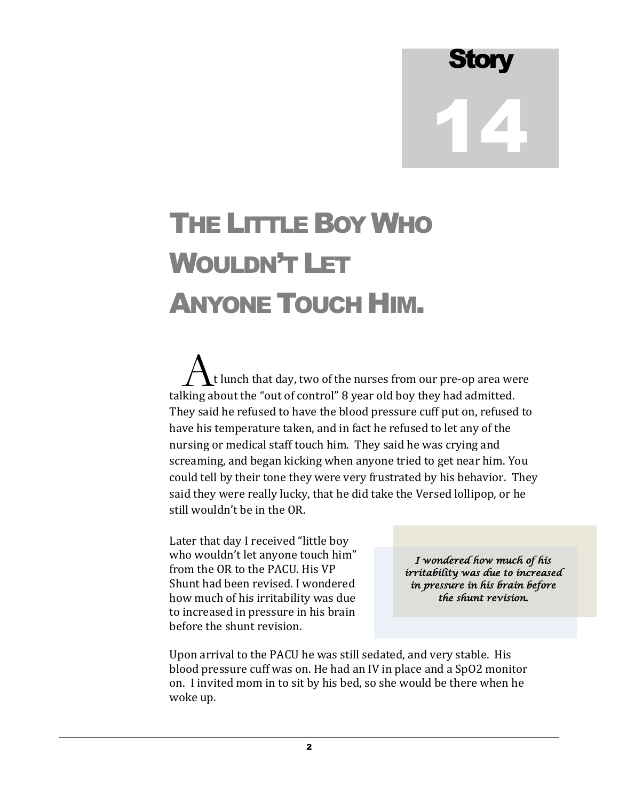## Story 14

## THE LITTLE BOYWHO WOULDN'T LET ANYONE TOUCH HIM.

 t lunch that day, two of the nurses from our pre-op area were  $\Lambda$ t lunch that day, two of the nurses from our pre-op area we<br>talking about the "out of control" 8 year old boy they had admitted. They said he refused to have the blood pressure cuff put on, refused to have his temperature taken, and in fact he refused to let any of the nursing or medical staff touch him. They said he was crying and screaming, and began kicking when anyone tried to get near him. You could tell by their tone they were very frustrated by his behavior. They said they were really lucky, that he did take the Versed lollipop, or he still wouldn't be in the OR.

Later that day I received "little boy who wouldn't let anyone touch him" from the OR to the PACU. His VP Shunt had been revised. I wondered how much of his irritability was due to increased in pressure in his brain before the shunt revision.

*I wondered how much of his irritability was due to increased in pressure in his brain before the shunt revision.* 

Upon arrival to the PACU he was still sedated, and very stable. His blood pressure cuff was on. He had an IV in place and a SpO2 monitor on. I invited mom in to sit by his bed, so she would be there when he woke up.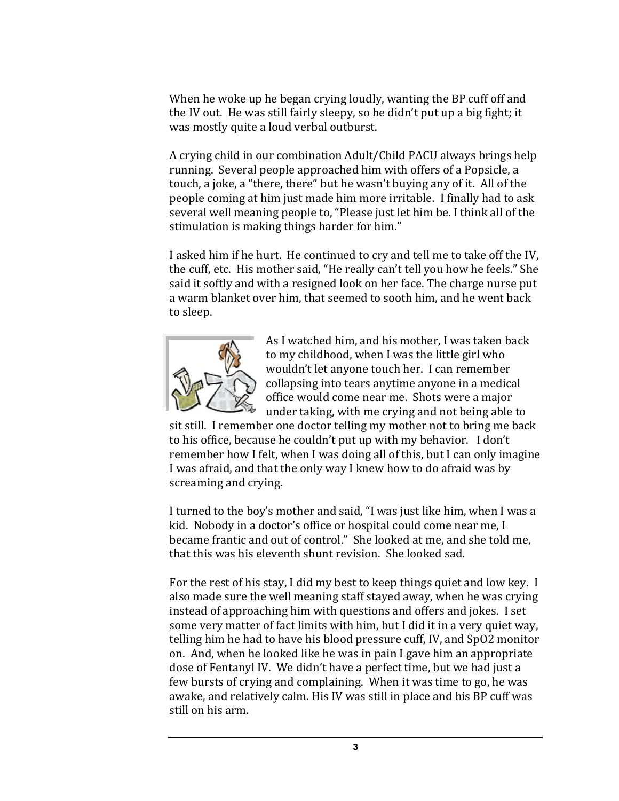When he woke up he began crying loudly, wanting the BP cuff off and the IV out. He was still fairly sleepy, so he didn't put up a big fight; it was mostly quite a loud verbal outburst.

A crying child in our combination Adult/Child PACU always brings help running. Several people approached him with offers of a Popsicle, a touch, a joke, a "there, there" but he wasn't buying any of it. All of the people coming at him just made him more irritable. I finally had to ask several well meaning people to, "Please just let him be. I think all of the stimulation is making things harder for him."

I asked him if he hurt. He continued to cry and tell me to take off the IV, the cuff, etc. His mother said, "He really can't tell you how he feels." She said it softly and with a resigned look on her face. The charge nurse put a warm blanket over him, that seemed to sooth him, and he went back to sleep.



As I watched him, and his mother, I was taken back to my childhood, when I was the little girl who wouldn't let anyone touch her. I can remember collapsing into tears anytime anyone in a medical office would come near me. Shots were a major under taking, with me crying and not being able to

sit still. I remember one doctor telling my mother not to bring me back to his office, because he couldn't put up with my behavior. I don't remember how I felt, when I was doing all of this, but I can only imagine I was afraid, and that the only way I knew how to do afraid was by screaming and crying.

I turned to the boy's mother and said, "I was just like him, when I was a kid. Nobody in a doctor's office or hospital could come near me, I became frantic and out of control." She looked at me, and she told me, that this was his eleventh shunt revision. She looked sad.

For the rest of his stay, I did my best to keep things quiet and low key. I also made sure the well meaning staff stayed away, when he was crying instead of approaching him with questions and offers and jokes. I set some very matter of fact limits with him, but I did it in a very quiet way, telling him he had to have his blood pressure cuff, IV, and SpO2 monitor on. And, when he looked like he was in pain I gave him an appropriate dose of Fentanyl IV. We didn't have a perfect time, but we had just a few bursts of crying and complaining. When it was time to go, he was awake, and relatively calm. His IV was still in place and his BP cuff was still on his arm.